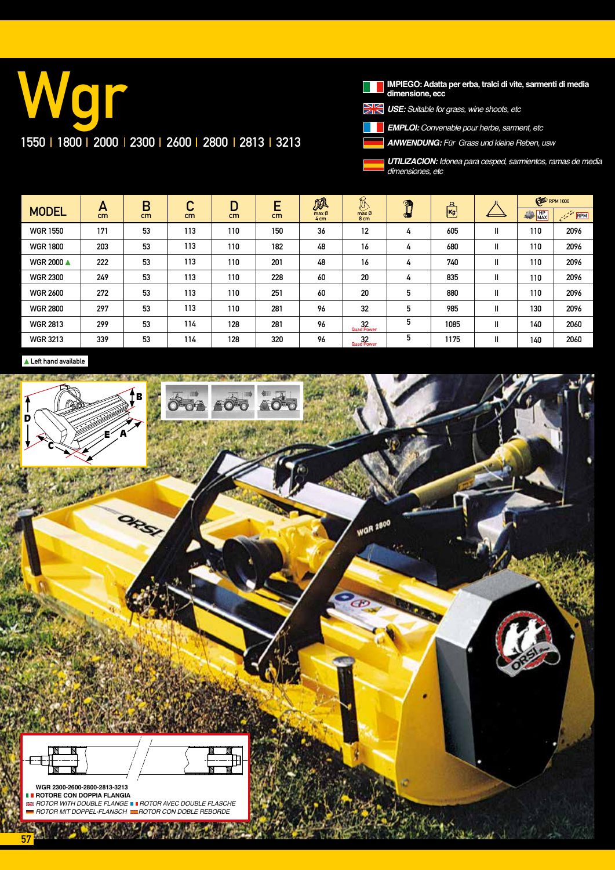# Wgr 1550 | 1800 | 2000 | 2300 | 2600 | 2800 | 2813 | 3213

**The Second IMPIEGO: Adatta per erba, tralci di vite, sarmenti di media dimensione, ecc**

*USE: Suitable for grass, wine shoots, etc*

*EMPLOI: Convenable pour herbe, sarment, etc*

*ANWENDUNG:* Für Grass und kleine Reben, usw

*UTILIZACION: Idonea para cesped, sarmientos, ramas de media dimensiones, etc*

| <b>MODEL</b>      | A<br>cm | B<br>cm | С<br>cm | D<br>cm | E<br>cm | pA<br>max Ø<br>4 <sub>cm</sub> | L<br>$max$ $\emptyset$<br>8 <sub>cm</sub> | Ø<br>СF | $\mathbb{E}$ |    | <b>ED</b> RPM 1000 |      |
|-------------------|---------|---------|---------|---------|---------|--------------------------------|-------------------------------------------|---------|--------------|----|--------------------|------|
|                   |         |         |         |         |         |                                |                                           |         |              |    | $\frac{HP}{MAX}$   | RPM  |
| <b>WGR 1550</b>   | 171     | 53      | 113     | 110     | 150     | 36                             | $12 \overline{ }$                         | 4       | 605          | Ш  | 110                | 2096 |
| <b>WGR 1800</b>   | 203     | 53      | 113     | 110     | 182     | 48                             | 16                                        | 4       | 680          | II | 110                | 2096 |
| <b>WGR 2000 ▲</b> | 222     | 53      | 113     | 110     | 201     | 48                             | 16                                        | 4       | 740          | Ш  | 110                | 2096 |
| <b>WGR 2300</b>   | 249     | 53      | 113     | 110     | 228     | 60                             | 20                                        | 4       | 835          | Ш  | 110                | 2096 |
| <b>WGR 2600</b>   | 272     | 53      | 113     | 110     | 251     | 60                             | 20                                        | 5       | 880          | Ш  | 110                | 2096 |
| <b>WGR 2800</b>   | 297     | 53      | 113     | 110     | 281     | 96                             | 32                                        | 5       | 985          | Ш  | 130                | 2096 |
| <b>WGR 2813</b>   | 299     | 53      | 114     | 128     | 281     | 96                             | 32<br>Quad Power                          | 5       | 1085         | II | 140                | 2060 |
| <b>WGR 3213</b>   | 339     | 53      | 114     | 128     | 320     | 96                             | 32<br>Quad Power                          | 5       | 1175         | Ш  | 140                | 2060 |

Left hand available